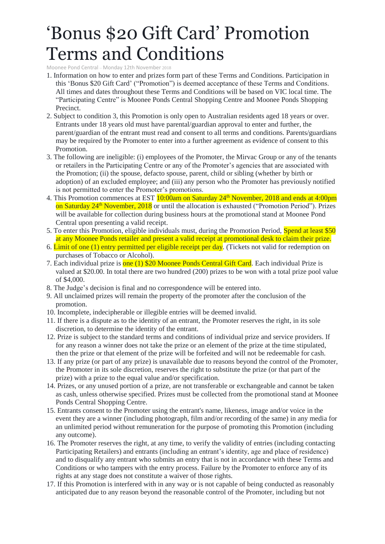## 'Bonus \$20 Gift Card' Promotion Terms and Conditions

Moonee Pond Central – [Monday 12th](https://www.facebook.com/notes/rhodes-waterside/despicable-me-3-promotion-terms-and-conditions/1509514499110605/) November 2018

- 1. Information on how to enter and prizes form part of these Terms and Conditions. Participation in this 'Bonus \$20 Gift Card' ("Promotion") is deemed acceptance of these Terms and Conditions. All times and dates throughout these Terms and Conditions will be based on VIC local time. The "Participating Centre" is Moonee Ponds Central Shopping Centre and Moonee Ponds Shopping Precinct.
- 2. Subject to condition 3, this Promotion is only open to Australian residents aged 18 years or over. Entrants under 18 years old must have parental/guardian approval to enter and further, the parent/guardian of the entrant must read and consent to all terms and conditions. Parents/guardians may be required by the Promoter to enter into a further agreement as evidence of consent to this Promotion.
- 3. The following are ineligible: (i) employees of the Promoter, the Mirvac Group or any of the tenants or retailers in the Participating Centre or any of the Promoter's agencies that are associated with the Promotion; (ii) the spouse, defacto spouse, parent, child or sibling (whether by birth or adoption) of an excluded employee; and (iii) any person who the Promoter has previously notified is not permitted to enter the Promoter's promotions.
- 4. This Promotion commences at EST 10:00am on Saturday 24<sup>th</sup> November, 2018 and ends at 4:00pm on Saturday 24<sup>th</sup> November, 2018 or until the allocation is exhausted ("Promotion Period"). Prizes will be available for collection during business hours at the promotional stand at Moonee Pond Central upon presenting a valid receipt.
- 5. To enter this Promotion, eligible individuals must, during the Promotion Period, Spend at least \$50 at any Moonee Ponds retailer and present a valid receipt at promotional desk to claim their prize.
- 6. Limit of one (1) entry permitted per eligible receipt per day. (Tickets not valid for redemption on purchases of Tobacco or Alcohol).
- 7. Each individual prize is one (1) \$20 Moonee Ponds Central Gift Card. Each individual Prize is valued at \$20.00. In total there are two hundred (200) prizes to be won with a total prize pool value of \$4,000.
- 8. The Judge's decision is final and no correspondence will be entered into.
- 9. All unclaimed prizes will remain the property of the promoter after the conclusion of the promotion.
- 10. Incomplete, indecipherable or illegible entries will be deemed invalid.
- 11. If there is a dispute as to the identity of an entrant, the Promoter reserves the right, in its sole discretion, to determine the identity of the entrant.
- 12. Prize is subject to the standard terms and conditions of individual prize and service providers. If for any reason a winner does not take the prize or an element of the prize at the time stipulated, then the prize or that element of the prize will be forfeited and will not be redeemable for cash.
- 13. If any prize (or part of any prize) is unavailable due to reasons beyond the control of the Promoter, the Promoter in its sole discretion, reserves the right to substitute the prize (or that part of the prize) with a prize to the equal value and/or specification.
- 14. Prizes, or any unused portion of a prize, are not transferable or exchangeable and cannot be taken as cash, unless otherwise specified. Prizes must be collected from the promotional stand at Moonee Ponds Central Shopping Centre.
- 15. Entrants consent to the Promoter using the entrant's name, likeness, image and/or voice in the event they are a winner (including photograph, film and/or recording of the same) in any media for an unlimited period without remuneration for the purpose of promoting this Promotion (including any outcome).
- 16. The Promoter reserves the right, at any time, to verify the validity of entries (including contacting Participating Retailers) and entrants (including an entrant's identity, age and place of residence) and to disqualify any entrant who submits an entry that is not in accordance with these Terms and Conditions or who tampers with the entry process. Failure by the Promoter to enforce any of its rights at any stage does not constitute a waiver of those rights.
- 17. If this Promotion is interfered with in any way or is not capable of being conducted as reasonably anticipated due to any reason beyond the reasonable control of the Promoter, including but not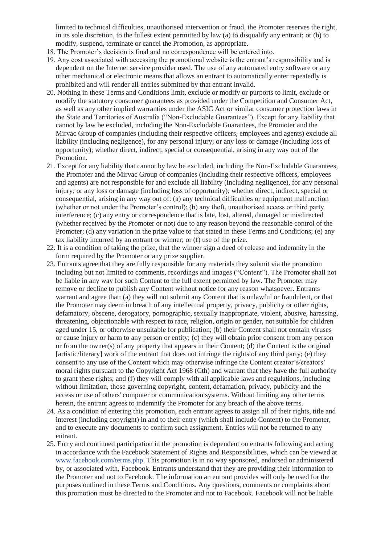limited to technical difficulties, unauthorised intervention or fraud, the Promoter reserves the right, in its sole discretion, to the fullest extent permitted by law (a) to disqualify any entrant; or (b) to modify, suspend, terminate or cancel the Promotion, as appropriate.

- 18. The Promoter's decision is final and no correspondence will be entered into.
- 19. Any cost associated with accessing the promotional website is the entrant's responsibility and is dependent on the Internet service provider used. The use of any automated entry software or any other mechanical or electronic means that allows an entrant to automatically enter repeatedly is prohibited and will render all entries submitted by that entrant invalid.
- 20. Nothing in these Terms and Conditions limit, exclude or modify or purports to limit, exclude or modify the statutory consumer guarantees as provided under the Competition and Consumer Act, as well as any other implied warranties under the ASIC Act or similar consumer protection laws in the State and Territories of Australia ("Non-Excludable Guarantees"). Except for any liability that cannot by law be excluded, including the Non-Excludable Guarantees, the Promoter and the Mirvac Group of companies (including their respective officers, employees and agents) exclude all liability (including negligence), for any personal injury; or any loss or damage (including loss of opportunity); whether direct, indirect, special or consequential, arising in any way out of the Promotion.
- 21. Except for any liability that cannot by law be excluded, including the Non-Excludable Guarantees, the Promoter and the Mirvac Group of companies (including their respective officers, employees and agents) are not responsible for and exclude all liability (including negligence), for any personal injury; or any loss or damage (including loss of opportunity); whether direct, indirect, special or consequential, arising in any way out of: (a) any technical difficulties or equipment malfunction (whether or not under the Promoter's control); (b) any theft, unauthorised access or third party interference; (c) any entry or correspondence that is late, lost, altered, damaged or misdirected (whether received by the Promoter or not) due to any reason beyond the reasonable control of the Promoter; (d) any variation in the prize value to that stated in these Terms and Conditions; (e) any tax liability incurred by an entrant or winner; or (f) use of the prize.
- 22. It is a condition of taking the prize, that the winner sign a deed of release and indemnity in the form required by the Promoter or any prize supplier.
- 23. Entrants agree that they are fully responsible for any materials they submit via the promotion including but not limited to comments, recordings and images ("Content"). The Promoter shall not be liable in any way for such Content to the full extent permitted by law. The Promoter may remove or decline to publish any Content without notice for any reason whatsoever. Entrants warrant and agree that: (a) they will not submit any Content that is unlawful or fraudulent, or that the Promoter may deem in breach of any intellectual property, privacy, publicity or other rights, defamatory, obscene, derogatory, pornographic, sexually inappropriate, violent, abusive, harassing, threatening, objectionable with respect to race, religion, origin or gender, not suitable for children aged under 15, or otherwise unsuitable for publication; (b) their Content shall not contain viruses or cause injury or harm to any person or entity; (c) they will obtain prior consent from any person or from the owner(s) of any property that appears in their Content; (d) the Content is the original [artistic/literary] work of the entrant that does not infringe the rights of any third party; (e) they consent to any use of the Content which may otherwise infringe the Content creator's/creators' moral rights pursuant to the Copyright Act 1968 (Cth) and warrant that they have the full authority to grant these rights; and (f) they will comply with all applicable laws and regulations, including without limitation, those governing copyright, content, defamation, privacy, publicity and the access or use of others' computer or communication systems. Without limiting any other terms herein, the entrant agrees to indemnify the Promoter for any breach of the above terms.
- 24. As a condition of entering this promotion, each entrant agrees to assign all of their rights, title and interest (including copyright) in and to their entry (which shall include Content) to the Promoter, and to execute any documents to confirm such assignment. Entries will not be returned to any entrant.
- 25. Entry and continued participation in the promotion is dependent on entrants following and acting in accordance with the Facebook Statement of Rights and Responsibilities, which can be viewed at [www.facebook.com/terms.php.](http://www.facebook.com/terms.php) This promotion is in no way sponsored, endorsed or administered by, or associated with, Facebook. Entrants understand that they are providing their information to the Promoter and not to Facebook. The information an entrant provides will only be used for the purposes outlined in these Terms and Conditions. Any questions, comments or complaints about this promotion must be directed to the Promoter and not to Facebook. Facebook will not be liable